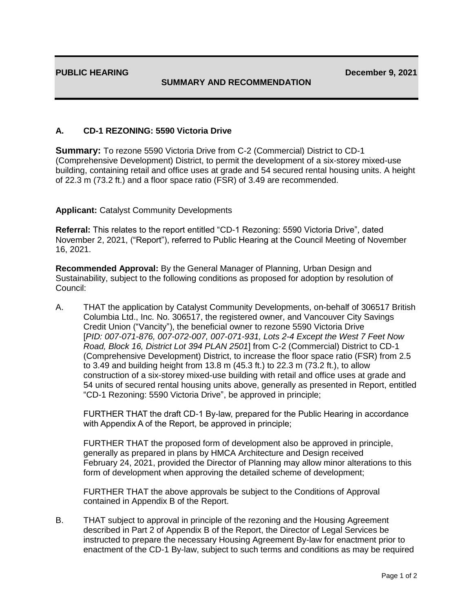## **SUMMARY AND RECOMMENDATION**

## **A. CD-1 REZONING: 5590 Victoria Drive**

**Summary:** To rezone 5590 Victoria Drive from C-2 (Commercial) District to CD-1 (Comprehensive Development) District, to permit the development of a six-storey mixed-use building, containing retail and office uses at grade and 54 secured rental housing units. A height of 22.3 m (73.2 ft.) and a floor space ratio (FSR) of 3.49 are recommended.

## **Applicant:** Catalyst Community Developments

**Referral:** This relates to the report entitled "CD-1 Rezoning: 5590 Victoria Drive", dated November 2, 2021, ("Report"), referred to Public Hearing at the Council Meeting of November 16, 2021.

**Recommended Approval:** By the General Manager of Planning, Urban Design and Sustainability, subject to the following conditions as proposed for adoption by resolution of Council:

A. THAT the application by Catalyst Community Developments, on-behalf of 306517 British Columbia Ltd., Inc. No. 306517, the registered owner, and Vancouver City Savings Credit Union ("Vancity"), the beneficial owner to rezone 5590 Victoria Drive [*PID: 007-071-876, 007-072-007, 007-071-931, Lots 2-4 Except the West 7 Feet Now Road, Block 16, District Lot 394 PLAN 2501*] from C-2 (Commercial) District to CD-1 (Comprehensive Development) District, to increase the floor space ratio (FSR) from 2.5 to 3.49 and building height from 13.8 m (45.3 ft.) to 22.3 m (73.2 ft.), to allow construction of a six-storey mixed-use building with retail and office uses at grade and 54 units of secured rental housing units above, generally as presented in Report, entitled "CD-1 Rezoning: 5590 Victoria Drive", be approved in principle;

FURTHER THAT the draft CD-1 By-law, prepared for the Public Hearing in accordance with Appendix A of the Report, be approved in principle;

FURTHER THAT the proposed form of development also be approved in principle, generally as prepared in plans by HMCA Architecture and Design received February 24, 2021, provided the Director of Planning may allow minor alterations to this form of development when approving the detailed scheme of development;

FURTHER THAT the above approvals be subject to the Conditions of Approval contained in Appendix B of the Report.

B. THAT subject to approval in principle of the rezoning and the Housing Agreement described in Part 2 of Appendix B of the Report, the Director of Legal Services be instructed to prepare the necessary Housing Agreement By-law for enactment prior to enactment of the CD-1 By-law, subject to such terms and conditions as may be required